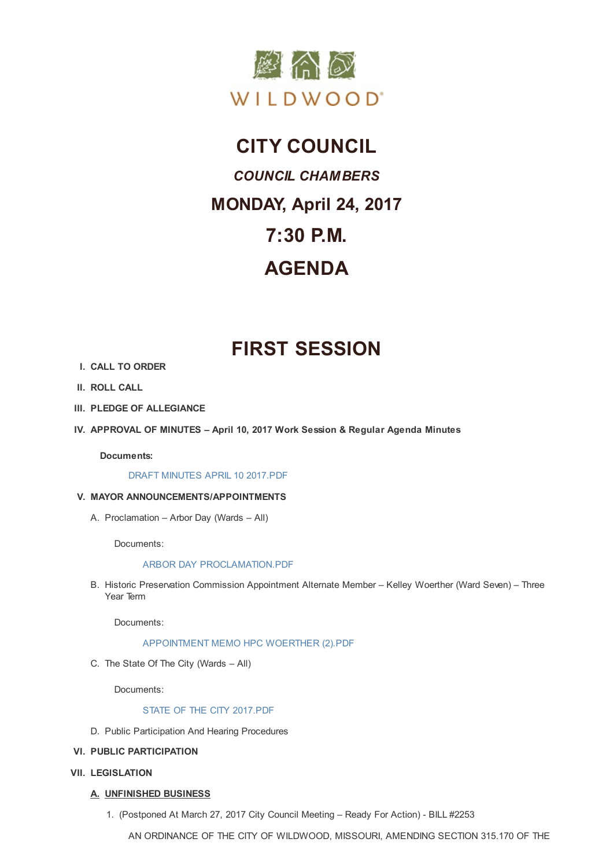

### **CITY COUNCIL**

# *COUNCIL CHAMBERS* **MONDAY, April 24, 2017 7:30 P.M. AGENDA**

## **FIRST SESSION**

- **I. CALL TO ORDER**
- **II. ROLL CALL**
- **III. PLEDGE OF ALLEGIANCE**
- **IV. APPROVAL OF MINUTES – April 10, 2017 Work Session & Regular Agenda Minutes**

**Documents:**

DRAFT MINUTES APRIL 10 2017.PDF

#### **V. MAYOR ANNOUNCEMENTS/APPOINTMENTS**

A. Procl[amation](http://www.cityofwildwood.com/AgendaCenter/ViewFile/Item/10522?fileID=14987) – Arbor Day (Wards – All)

Documents:

#### ARBOR DAY PROCLAMATION.PDF

B. Historic Preservation Commission Appointment Alternate Member – Kelley Woerther (Ward Seven) – Three Year Term

Docu[ments:](http://www.cityofwildwood.com/AgendaCenter/ViewFile/Item/10524?fileID=14952)

#### APPOINTMENT MEMO HPC WOERTHER (2).PDF

C. The State Of The City (Wards – All)

Docu[ments:](http://www.cityofwildwood.com/AgendaCenter/ViewFile/Item/10525?fileID=14953)

#### STATE OF THE CITY 2017.PDF

- D. Public Participation And Hearing Procedures
- **VI. PUBLIC PA[RTICIPATION](http://www.cityofwildwood.com/AgendaCenter/ViewFile/Item/10663?fileID=15051)**
- **VII. LEGISLATION**
	- **A. UNFINISHED BUSINESS**
		- 1. (Postponed At March 27, 2017 City Council Meeting Ready For Action) BILL #2253

AN ORDINANCE OF THE CITY OF WILDWOOD, MISSOURI, AMENDING SECTION 315.170 OF THE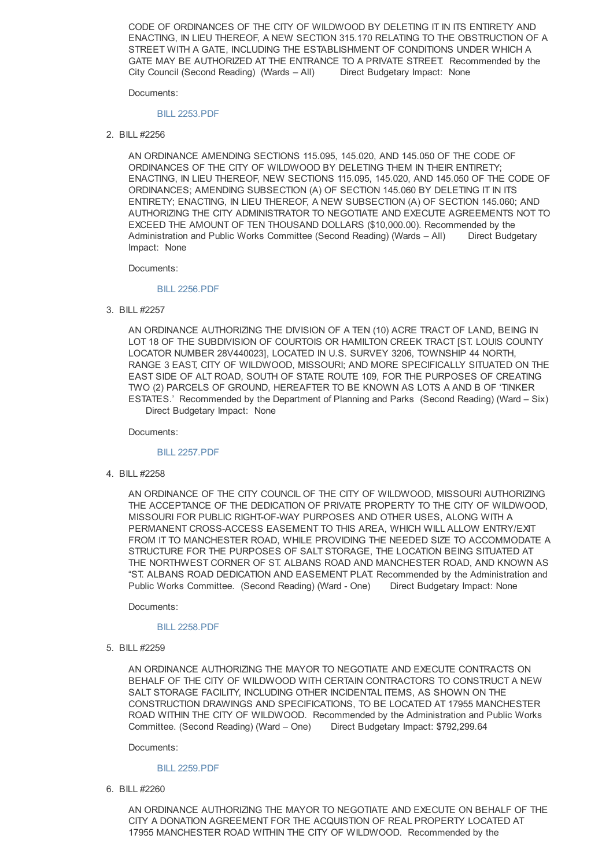CODE OF ORDINANCES OF THE CITY OF WILDWOOD BY DELETING IT IN ITS ENTIRETY AND ENACTING, IN LIEU THEREOF, A NEW SECTION 315.170 RELATING TO THE OBSTRUCTION OF A STREET WITH A GATE, INCLUDING THE ESTABLISHMENT OF CONDITIONS UNDER WHICH A GATE MAY BE AUTHORIZED AT THE ENTRANCE TO A PRIVATE STREET. Recommended by the City Council (Second Reading) (Wards – All) Direct Budgetary Impact: None

Documents:

#### BILL 2253.PDF

2. BILL #2256

AN ORDINANCE AMENDING SECTIONS 115.095, 145.020, AND 145.050 OF THE CODE OF ORDINANCES OF THE CITY OF WILDWOOD BY DELETING THEM IN THEIR ENTIRETY; ENACTING, IN LIEU THEREOF, NEW SECTIONS 115.095, 145.020, AND 145.050 OF THE CODE OF ORDINANCES; AMENDING SUBSECTION (A) OF SECTION 145.060 BY DELETING IT IN ITS ENTIRETY; ENACTING, IN LIEU THEREOF, A NEW SUBSECTION (A) OF SECTION 145.060; AND AUTHORIZING THE CITY ADMINISTRATOR TO NEGOTIATE AND EXECUTE AGREEMENTS NOT TO EXCEED THE AMOUNT OF TEN THOUSAND DOLLARS (\$10,000.00). Recommended by the Administration and Public Works Committee (Second Reading) (Wards – All) Direct Budgetary Impact: None

Documents:

#### BILL 2256.PDF

3. BILL #2257

AN ORDINANCE AUTHORIZING THE DIVISION OF A TEN (10) ACRE TRACT OF LAND, BEING IN LOT 18 OF THE SUBDIVISION OF COURTOIS OR HAMILTON CREEK TRACT [ST. LOUIS COUNTY LOCATOR NUMBER 28V440023], LOCATED IN U.S. SURVEY 3206, TOWNSHIP 44 NORTH, RANGE 3 EAST, CITY OF WILDWOOD, MISSOURI; AND MORE SPECIFICALLY SITUATED ON THE EAST SIDE OF ALT ROAD, SOUTH OF STATE ROUTE 109, FOR THE PURPOSES OF CREATING TWO (2) PARCELS OF GROUND, HEREAFTER TO BE KNOWN AS LOTS A AND B OF 'TINKER ESTATES.' Recommended by the Department of Planning and Parks (Second Reading) (Ward – Six) Direct Budgetary Impact: None

Documents:

#### BILL 2257.PDF

4. BILL #2258

AN ORDINANCE OF THE CITY COUNCIL OF THE CITY OF WILDWOOD, MISSOURI AUTHORIZING THE ACCEPTANCE OF THE DEDICATION OF PRIVATE PROPERTY TO THE CITY OF WILDWOOD, MISSOURI FOR PUBLIC RIGHT-OF-WAY PURPOSES AND OTHER USES, ALONG WITH A PERMANENT CROSS-ACCESS EASEMENT TO THIS AREA, WHICH WILL ALLOW ENTRY/EXIT FROM IT TO MANCHESTER ROAD, WHILE PROVIDING THE NEEDED SIZE TO ACCOMMODATE A STRUCTURE FOR THE PURPOSES OF SALT STORAGE, THE LOCATION BEING SITUATED AT THE NORTHWEST CORNER OF ST. ALBANS ROAD AND MANCHESTER ROAD, AND KNOWN AS "ST. ALBANS ROAD DEDICATION AND EASEMENT PLAT. Recommended by the Administration and Public Works Committee. (Second Reading) (Ward - One) Direct Budgetary Impact: None

Documents:

#### BILL 2258.PDF

5. BILL #2259

AN ORDINANCE AUTHORIZING THE MAYOR TO NEGOTIATE AND EXECUTE CONTRACTS ON BEHALF OF THE CITY OF WILDWOOD WITH CERTAIN CONTRACTORS TO CONSTRUCT A NEW SALT STORAGE FACILITY, INCLUDING OTHER INCIDENTAL ITEMS, AS SHOWN ON THE CONSTRUCTION DRAWINGS AND SPECIFICATIONS, TO BE LOCATED AT 17955 MANCHESTER ROAD WITHIN THE CITY OF WILDWOOD. Recommended by the Administration and Public Works Committee. (Second Reading) (Ward - One) Direct Budgetary Impact: \$792,299.64

Documents:

#### BILL 2259.PDF

6. BILL #2260

AN ORDINANCE AUTHORIZING THE MAYOR TO NEGOTIATE AND EXECUTE ON BEHALF OF THE CITY A DONATION AGREEMENT FOR THE ACQUISTION OF REAL PROPERTY LOCATED AT 17955 MANCHESTER ROAD WITHIN THE CITY OF WILDWOOD. Recommended by the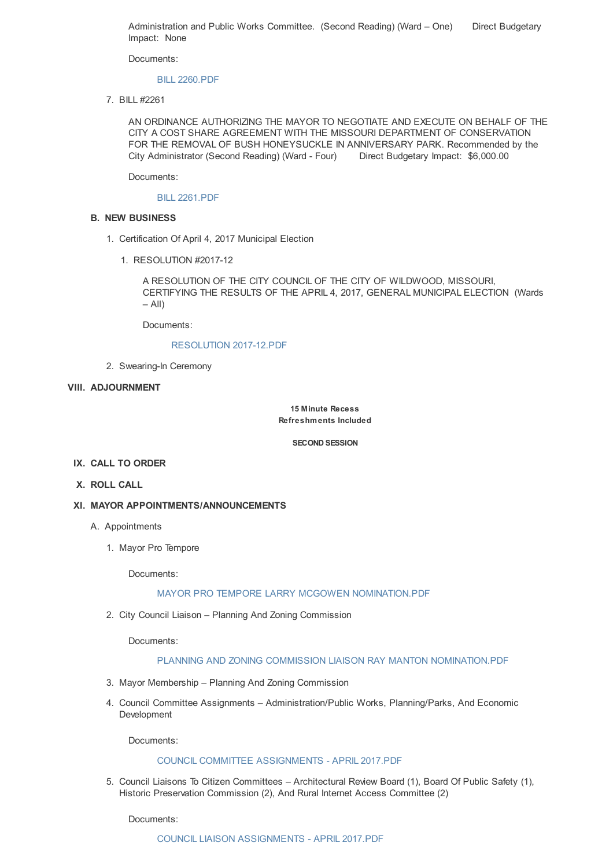Administration and Public Works Committee. (Second Reading) (Ward - One) Direct Budgetary Impact: None

Documents:

#### BILL 2260.PDF

7. BILL #2261

AN ORDINANCE AUTHORIZING THE MAYOR TO NEGOTIATE AND EXECUTE ON BEHALF OF THE CITY A COST SHARE AGREEMENT WITH THE MISSOURI DEPARTMENT OF CONSERVATION FOR THE REMOVAL OF BUSH HONEYSUCKLE IN ANNIVERSARY PARK. Recommended by the City Administrator (Second Reading) (Ward - Four) Direct Budgetary Impact: \$6,000.00

Documents:

#### BILL 2261.PDF

#### **B. NEW BUSINESS**

- 1. Certification Of April 4, 2017 Municipal Election
	- 1. RESOLUTION #2017-12

A RESOLUTION OF THE CITY COUNCIL OF THE CITY OF WILDWOOD, MISSOURI, CERTIFYING THE RESULTS OF THE APRIL 4, 2017, GENERAL MUNICIPAL ELECTION (Wards  $-$  All)

Documents:

#### RESOLUTION 2017-12.PDF

2. Swearing-In Ceremony

#### **VIII. ADJOURNMENT**

**15 Minute Recess Refreshments Included**

**SECOND SESSION**

#### **IX. CALL TO ORDER**

**X. ROLL CALL**

#### **XI. MAYOR APPOINTMENTS/ANNOUNCEMENTS**

- A. Appointments
	- 1. Mayor Pro Tempore

Documents:

#### MAYOR PRO TEMPORE LARRY MCGOWEN NOMINATION.PDF

2. City Council Liaison – Planning And Zoning Commission

Documents:

#### PLANNING AND ZONING COMMISSION LIAISON RAY MANTON NOMINATION.PDF

- 3. Mayor Membership Planning And Zoning Commission
- 4. Council Committee Assignments Administration/Public Works, Planning/Parks, And Economic Development

Documents:

#### COUNCIL COMMITTEE ASSIGNMENTS - APRIL 2017.PDF

5. Council Liaisons To Citizen Committees – Architectural Review Board (1), Board Of Public Safety (1), Historic Preservation Commission (2), And Rural Internet Access Committee (2)

Documents: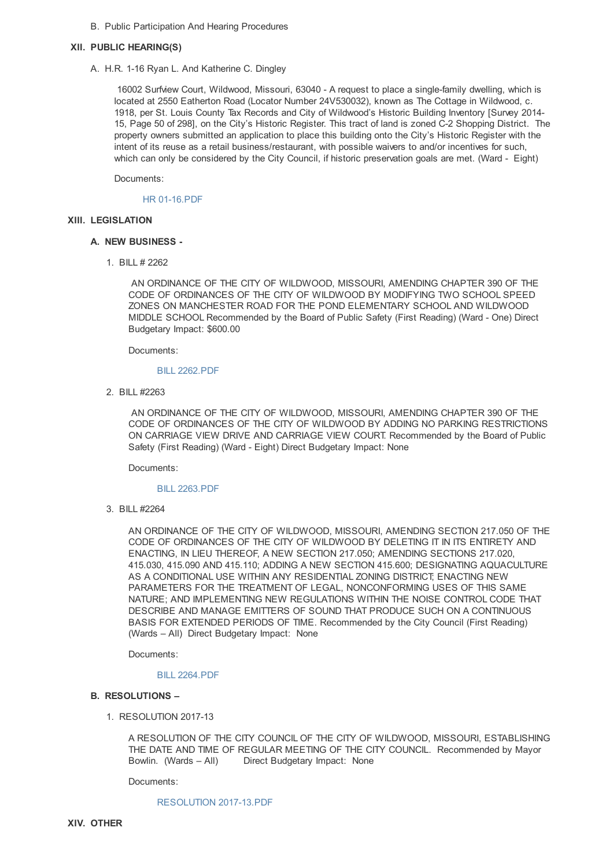B. Public Participation And Hearing Procedures

#### **XII. PUBLIC HEARING(S)**

A. H.R. 1-16 Ryan L. And Katherine C. Dingley

16002 Surfview Court, Wildwood, Missouri, 63040 - A request to place a single-family dwelling, which is located at 2550 Eatherton Road (Locator Number 24V530032), known as The Cottage in Wildwood, c. 1918, per St. Louis County Tax Records and City of Wildwood's Historic Building Inventory [Survey 2014- 15, Page 50 of 298], on the City's Historic Register. This tract of land is zoned C-2 Shopping District. The property owners submitted an application to place this building onto the City's Historic Register with the intent of its reuse as a retail business/restaurant, with possible waivers to and/or incentives for such, which can only be considered by the City Council, if historic preservation goals are met. (Ward - Eight)

Documents:

HR 01-16.PDF

#### **XIII. LEGISLATION**

#### **A. NEW BUSINESS -**

1. BILL # 2262

AN ORDINANCE OF THE CITY OF WILDWOOD, MISSOURI, AMENDING CHAPTER 390 OF THE CODE OF ORDINANCES OF THE CITY OF WILDWOOD BY MODIFYING TWO SCHOOL SPEED ZONES ON MANCHESTER ROAD FOR THE POND ELEMENTARY SCHOOL AND WILDWOOD MIDDLE SCHOOL Recommended by the Board of Public Safety (First Reading) (Ward - One) Direct Budgetary Impact: \$600.00

Documents:

#### BILL 2262.PDF

2. BILL #2263

AN ORDINANCE OF THE CITY OF WILDWOOD, MISSOURI, AMENDING CHAPTER 390 OF THE CODE OF ORDINANCES OF THE CITY OF WILDWOOD BY ADDING NO PARKING RESTRICTIONS ON CARRIAGE VIEW DRIVE AND CARRIAGE VIEW COURT. Recommended by the Board of Public Safety (First Reading) (Ward - Eight) Direct Budgetary Impact: None

Documents:

#### BILL 2263.PDF

3. BILL #2264

AN ORDINANCE OF THE CITY OF WILDWOOD, MISSOURI, AMENDING SECTION 217.050 OF THE CODE OF ORDINANCES OF THE CITY OF WILDWOOD BY DELETING IT IN ITS ENTIRETY AND ENACTING, IN LIEU THEREOF, A NEW SECTION 217.050; AMENDING SECTIONS 217.020, 415.030, 415.090 AND 415.110; ADDING A NEW SECTION 415.600; DESIGNATING AQUACULTURE AS A CONDITIONAL USE WITHIN ANY RESIDENTIAL ZONING DISTRICT; ENACTING NEW PARAMETERS FOR THE TREATMENT OF LEGAL, NONCONFORMING USES OF THIS SAME NATURE; AND IMPLEMENTING NEW REGULATIONS WITHIN THE NOISE CONTROL CODE THAT DESCRIBE AND MANAGE EMITTERS OF SOUND THAT PRODUCE SUCH ON A CONTINUOUS BASIS FOR EXTENDED PERIODS OF TIME. Recommended by the City Council (First Reading) (Wards – All) Direct Budgetary Impact: None

Documents:

#### BILL 2264.PDF

#### **B. RESOLUTIONS –**

1. RESOLUTION 2017-13

A RESOLUTION OF THE CITY COUNCIL OF THE CITY OF WILDWOOD, MISSOURI, ESTABLISHING THE DATE AND TIME OF REGULAR MEETING OF THE CITY COUNCIL. Recommended by Mayor Bowlin. (Wards – All) Direct Budgetary Impact: None

Documents:

#### RESOLUTION 2017-13.PDF